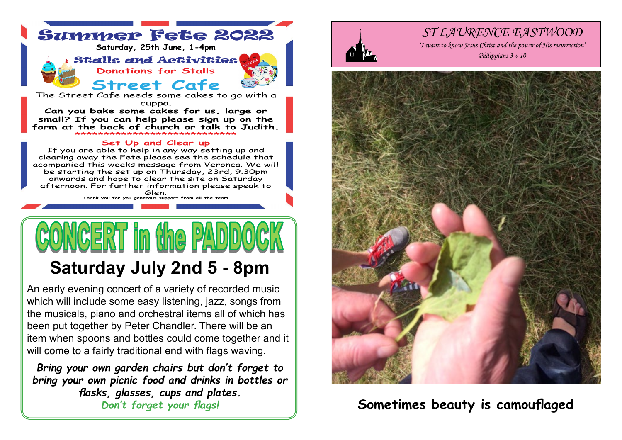

be starting the set up on Thursday, 23rd, 9.30pm onwards and hope to clear the site on Saturday afternoon. For further information please speak to Glen.

**Thank you for you generous support from all the team**

# Ir im thae IPAN

## **Saturday July 2nd 5 - 8pm**

An early evening concert of a variety of recorded music which will include some easy listening, jazz, songs from the musicals, piano and orchestral items all of which has been put together by Peter Chandler. There will be an item when spoons and bottles could come together and it will come to a fairly traditional end with flags waving.

*Bring your own garden chairs but don't forget to bring your own picnic food and drinks in bottles or flasks, glasses, cups and plates.*



#### *ST LAURENCE EASTWOOD*

*'I want to know Jesus Christ and the power of His resurrection'*



### *Don't forget your flags!* **Sometimes beauty is camouflaged**